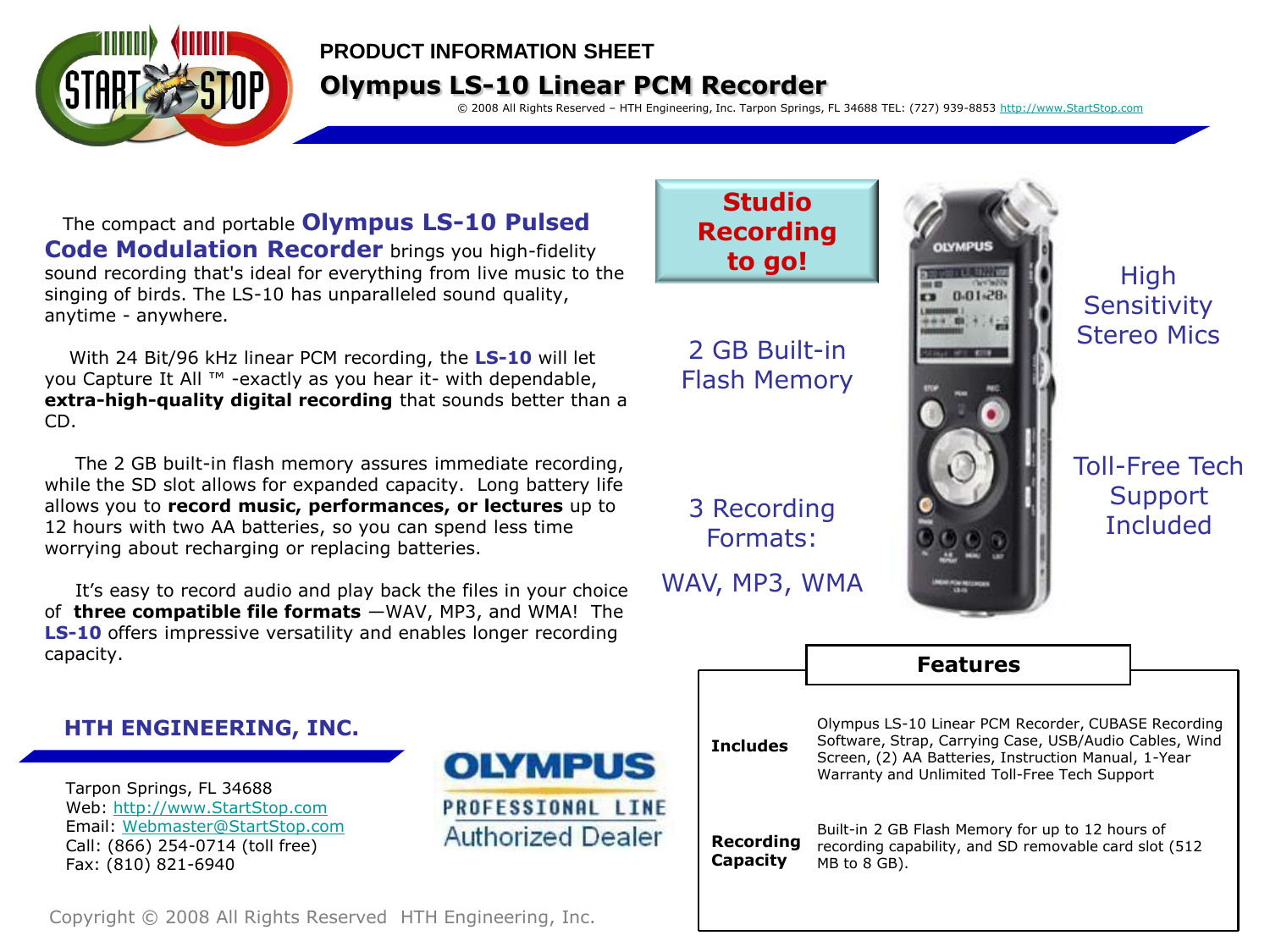

### **PRODUCT INFORMATION SHEET**

# **Olympus LS-10 Linear PCM Recorder**

© 2008 All Rights Reserved – HTH Engineering, Inc. Tarpon Springs, FL 34688 TEL: (727) 939-8853 [http://www.StartStop.com](http://www.startstop.com/)

The compact and portable **Olympus LS-10 Pulsed Code Modulation Recorder** brings you high-fidelity sound recording that's ideal for everything from live music to the singing of birds. The LS-10 has unparalleled sound quality, anytime - anywhere.

With 24 Bit/96 kHz linear PCM recording, the **LS-10** will let you Capture It All ™ -exactly as you hear it- with dependable, **extra-high-quality digital recording** that sounds better than a CD.

The 2 GB built-in flash memory assures immediate recording, while the SD slot allows for expanded capacity. Long battery life allows you to **record music, performances, or lectures** up to 12 hours with two AA batteries, so you can spend less time worrying about recharging or replacing batteries.

It's easy to record audio and play back the files in your choice of **three compatible file formats** —WAV, MP3, and WMA! The **LS-10** offers impressive versatility and enables longer recording capacity.

## **HTH ENGINEERING, INC.**

Tarpon Springs, FL 34688 Web: [http://www.StartStop.com](http://www.startstop.com/) Email: [Webmaster@StartStop.com](mailto:Webmaster@StartStop.com) Call: (866) 254-0714 (toll free) Fax: (810) 821-6940



**Studio Recording to go!**

2 GB Built-in Flash Memory

3 Recording Formats:

WAV, MP3, WMA



High **Sensitivity** Stereo Mics

Toll-Free Tech **Support Included** 

|                       | <b>Features</b>                                                                                                                                                                                                        |  |  |  |  |
|-----------------------|------------------------------------------------------------------------------------------------------------------------------------------------------------------------------------------------------------------------|--|--|--|--|
|                       |                                                                                                                                                                                                                        |  |  |  |  |
| <b>Includes</b>       | Olympus LS-10 Linear PCM Recorder, CUBASE Recording<br>Software, Strap, Carrying Case, USB/Audio Cables, Wind<br>Screen, (2) AA Batteries, Instruction Manual, 1-Year<br>Warranty and Unlimited Toll-Free Tech Support |  |  |  |  |
| Recording<br>Capacity | Built-in 2 GB Flash Memory for up to 12 hours of<br>recording capability, and SD removable card slot (512)<br>MB to 8 GB).                                                                                             |  |  |  |  |

Copyright © 2008 All Rights Reserved HTH Engineering, Inc.